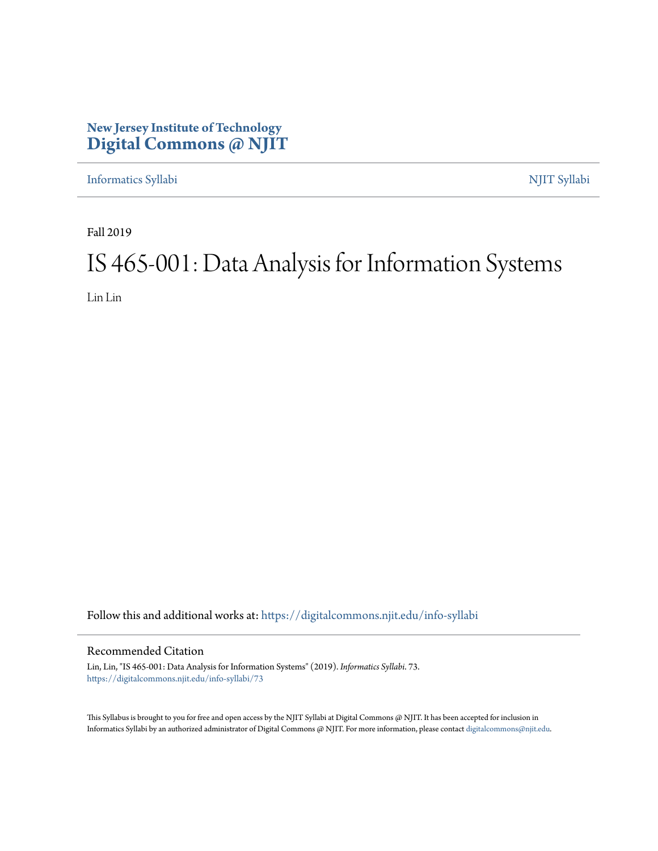### **New Jersey Institute of Technology [Digital Commons @ NJIT](https://digitalcommons.njit.edu/?utm_source=digitalcommons.njit.edu%2Finfo-syllabi%2F73&utm_medium=PDF&utm_campaign=PDFCoverPages)**

[Informatics Syllabi](https://digitalcommons.njit.edu/info-syllabi?utm_source=digitalcommons.njit.edu%2Finfo-syllabi%2F73&utm_medium=PDF&utm_campaign=PDFCoverPages) [NJIT Syllabi](https://digitalcommons.njit.edu/syllabi?utm_source=digitalcommons.njit.edu%2Finfo-syllabi%2F73&utm_medium=PDF&utm_campaign=PDFCoverPages)

Fall 2019

# IS 465-001: Data Analysis for Information Systems

Lin Lin

Follow this and additional works at: [https://digitalcommons.njit.edu/info-syllabi](https://digitalcommons.njit.edu/info-syllabi?utm_source=digitalcommons.njit.edu%2Finfo-syllabi%2F73&utm_medium=PDF&utm_campaign=PDFCoverPages)

#### Recommended Citation

Lin, Lin, "IS 465-001: Data Analysis for Information Systems" (2019). *Informatics Syllabi*. 73. [https://digitalcommons.njit.edu/info-syllabi/73](https://digitalcommons.njit.edu/info-syllabi/73?utm_source=digitalcommons.njit.edu%2Finfo-syllabi%2F73&utm_medium=PDF&utm_campaign=PDFCoverPages)

This Syllabus is brought to you for free and open access by the NJIT Syllabi at Digital Commons @ NJIT. It has been accepted for inclusion in Informatics Syllabi by an authorized administrator of Digital Commons @ NJIT. For more information, please contact [digitalcommons@njit.edu.](mailto:digitalcommons@njit.edu)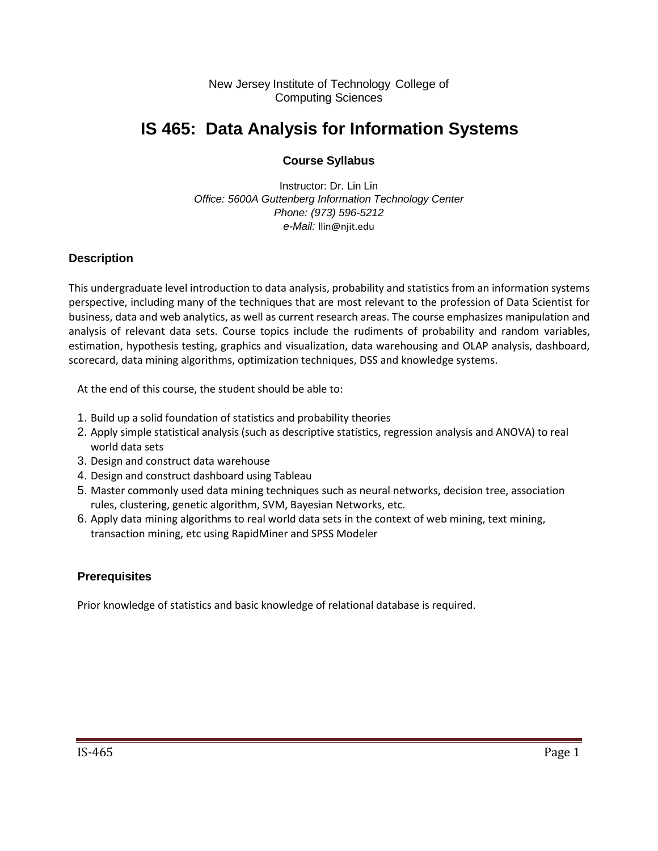New Jersey Institute of Technology College of Computing Sciences

# **IS 465: Data Analysis for Information Systems**

#### **Course Syllabus**

Instructor: Dr. Lin Lin *Office: 5600A Guttenberg Information Technology Center Phone: (973) 596-5212 e-Mail:* llin@njit.edu

#### **Description**

This undergraduate level introduction to data analysis, probability and statistics from an information systems perspective, including many of the techniques that are most relevant to the profession of Data Scientist for business, data and web analytics, as well as current research areas. The course emphasizes manipulation and analysis of relevant data sets. Course topics include the rudiments of probability and random variables, estimation, hypothesis testing, graphics and visualization, data warehousing and OLAP analysis, dashboard, scorecard, data mining algorithms, optimization techniques, DSS and knowledge systems.

At the end of this course, the student should be able to:

- 1. Build up a solid foundation of statistics and probability theories
- 2. Apply simple statistical analysis (such as descriptive statistics, regression analysis and ANOVA) to real world data sets
- 3. Design and construct data warehouse
- 4. Design and construct dashboard using Tableau
- 5. Master commonly used data mining techniques such as neural networks, decision tree, association rules, clustering, genetic algorithm, SVM, Bayesian Networks, etc.
- 6. Apply data mining algorithms to real world data sets in the context of web mining, text mining, transaction mining, etc using RapidMiner and SPSS Modeler

#### **Prerequisites**

Prior knowledge of statistics and basic knowledge of relational database is required.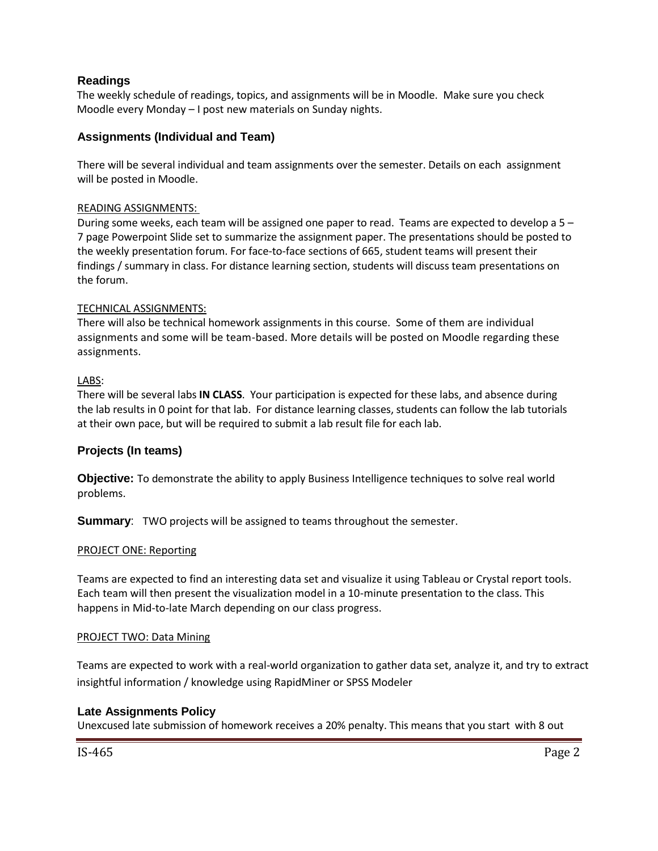#### **Readings**

The weekly schedule of readings, topics, and assignments will be in Moodle. Make sure you check Moodle every Monday – I post new materials on Sunday nights.

#### **Assignments (Individual and Team)**

There will be several individual and team assignments over the semester. Details on each assignment will be posted in Moodle.

#### READING ASSIGNMENTS:

During some weeks, each team will be assigned one paper to read. Teams are expected to develop a 5 – 7 page Powerpoint Slide set to summarize the assignment paper. The presentations should be posted to the weekly presentation forum. For face-to-face sections of 665, student teams will present their findings / summary in class. For distance learning section, students will discuss team presentations on the forum.

#### TECHNICAL ASSIGNMENTS:

There will also be technical homework assignments in this course. Some of them are individual assignments and some will be team-based. More details will be posted on Moodle regarding these assignments.

#### LABS:

There will be several labs **IN CLASS**. Your participation is expected for these labs, and absence during the lab results in 0 point for that lab. For distance learning classes, students can follow the lab tutorials at their own pace, but will be required to submit a lab result file for each lab.

#### **Projects (In teams)**

**Objective:** To demonstrate the ability to apply Business Intelligence techniques to solve real world problems.

**Summary:** TWO projects will be assigned to teams throughout the semester.

#### PROJECT ONE: Reporting

Teams are expected to find an interesting data set and visualize it using Tableau or Crystal report tools. Each team will then present the visualization model in a 10-minute presentation to the class. This happens in Mid-to-late March depending on our class progress.

#### PROJECT TWO: Data Mining

Teams are expected to work with a real-world organization to gather data set, analyze it, and try to extract insightful information / knowledge using RapidMiner or SPSS Modeler

#### **Late Assignments Policy**

Unexcused late submission of homework receives a 20% penalty. This means that you start with 8 out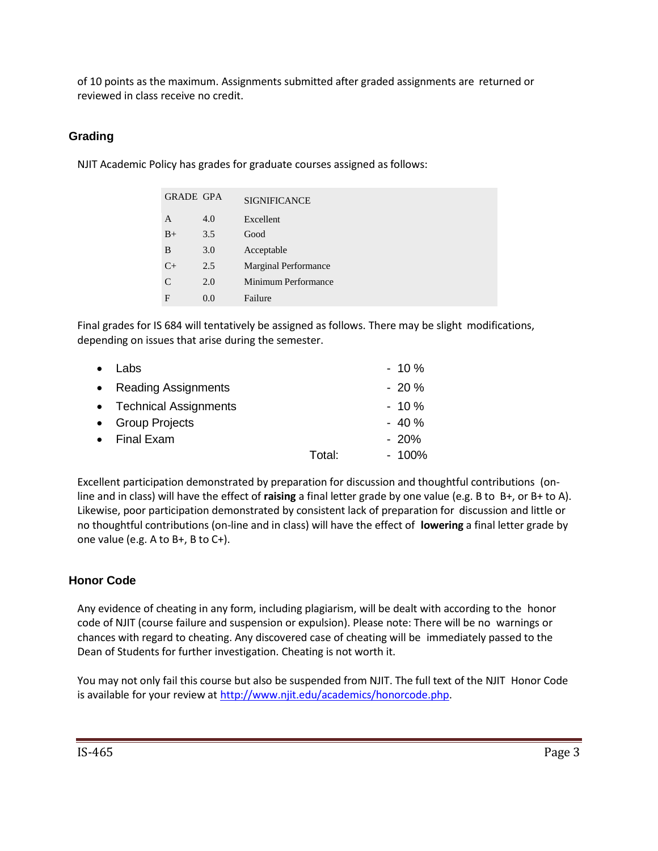of 10 points as the maximum. Assignments submitted after graded assignments are returned or reviewed in class receive no credit.

#### **Grading**

NJIT Academic Policy has grades for graduate courses assigned as follows:

| <b>GRADE GPA</b> |     | <b>SIGNIFICANCE</b>         |
|------------------|-----|-----------------------------|
| A                | 4.0 | Excellent                   |
| $B+$             | 3.5 | Good                        |
| B                | 3.0 | Acceptable                  |
| $C+$             | 2.5 | <b>Marginal Performance</b> |
| C                | 2.0 | Minimum Performance         |
| F                | 0.0 | Failure                     |

Final grades for IS 684 will tentatively be assigned as follows. There may be slight modifications, depending on issues that arise during the semester.

| $\bullet$ | Labs                    |        | $-10%$  |
|-----------|-------------------------|--------|---------|
|           | • Reading Assignments   |        | $-20%$  |
|           | • Technical Assignments |        | $-10%$  |
|           | • Group Projects        |        | $-40%$  |
|           | • Final Exam            |        | $-20%$  |
|           |                         | Total: | $-100%$ |
|           |                         |        |         |

Excellent participation demonstrated by preparation for discussion and thoughtful contributions (online and in class) will have the effect of **raising** a final letter grade by one value (e.g. B to B+, or B+ to A). Likewise, poor participation demonstrated by consistent lack of preparation for discussion and little or no thoughtful contributions (on-line and in class) will have the effect of **lowering** a final letter grade by one value (e.g. A to B+, B to C+).

#### **Honor Code**

Any evidence of cheating in any form, including plagiarism, will be dealt with according to the honor code of NJIT (course failure and suspension or expulsion). Please note: There will be no warnings or chances with regard to cheating. Any discovered case of cheating will be immediately passed to the Dean of Students for further investigation. Cheating is not worth it.

You may not only fail this course but also be suspended from NJIT. The full text of the NJIT Honor Code is available for your review at [http://www.njit.edu/academics/honorcode.php.](http://www.njit.edu/academics/honorcode.php)